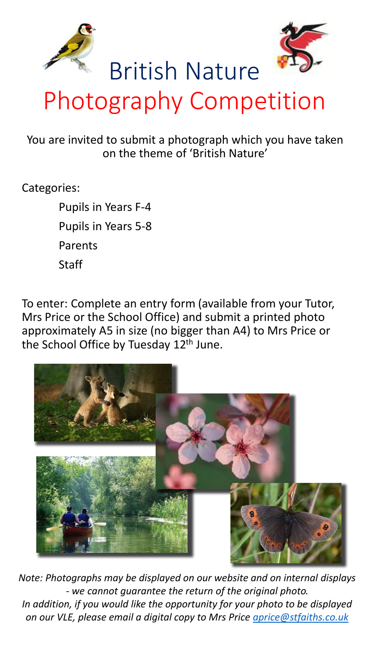



## Photography Competition

British Nature

You are invited to submit a photograph which you have taken on the theme of 'British Nature'

## Categories:

Pupils in Years F-4 Pupils in Years 5-8 Parents **Staff** 

To enter: Complete an entry form (available from your Tutor, Mrs Price or the School Office) and submit a printed photo approximately A5 in size (no bigger than A4) to Mrs Price or the School Office by Tuesday 12<sup>th</sup> June.



*Note: Photographs may be displayed on our website and on internal displays - we cannot guarantee the return of the original photo. In addition, if you would like the opportunity for your photo to be displayed on our VLE, please email a digital copy to Mrs Price [aprice@stfaiths.co.uk](mailto:aprice@stfaiths.co.uk)*